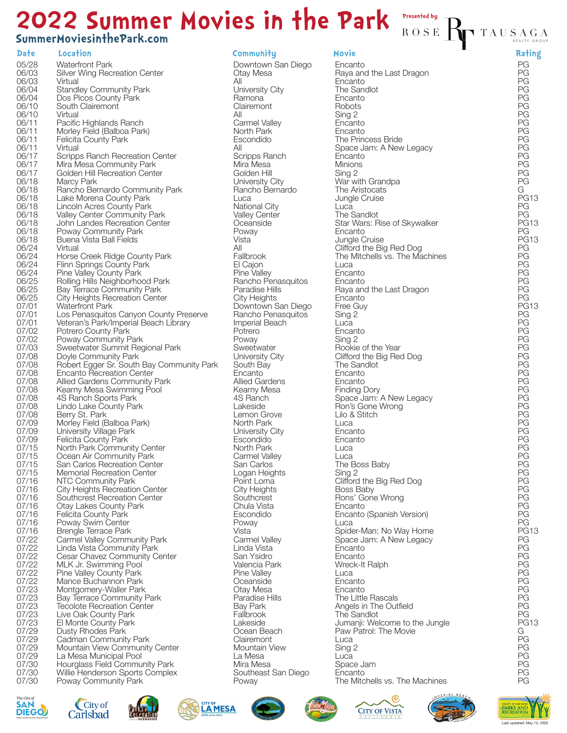## ROSE TAUSAGA **2022 Summer Movies in the Park**

## **SummerMoviesinthePark.com**

**Date Location Community Movie Rating** 05/28 06/03 06/03 06/04 06/04 06/10 06/10 06/11 06/11 06/11 06/11 06/17 06/17 06/17 06/18 06/18 06/18 06/18 06/18 06/18 06/18 06/18 06/24 06/24 06/24 06/24 06/25 06/25 06/25 07/01 07/01 07/01 07/02 07/02 07/03 07/08 07/08 07/08 07/08 07/08 07/08 07/08 07/08 07/09 07/09 07/09 07/15 07/15 07/15 07/15 07/16 07/16  $07/16$ 07/16 07/16 07/16 07/16 07/22 07/22 07/22 07/22 07/22 07/22 07/23 07/23 07/23 07/23 07/23 07/29 07/29 07/29 07/29 07/30 07/30 07/30 Waterfront Park Silver Wing Recreation Center Virtual Standley Community Park Dos Picos County Park South Clairemont Virtual Pacific Highlands Ranch Morley Field (Balboa Park) Felicita County Park Virtual Scripps Ranch Recreation Center Mira Mesa Community Park Golden Hill Recreation Center Marcy Park Rancho Bernardo Community Park Lake Morena County Park Lincoln Acres County Park Valley Center Community Park John Landes Recreation Center Poway Community Park Buena Vista Ball Fields Virtual Horse Creek Ridge County Park Flinn Springs County Park Pine Valley County Park Rolling Hills Neighborhood Park Bay Terrace Community Park City Heights Recreation Center Waterfront Park Los Penasquitos Canyon County Preserve Veteran's Park/Imperial Beach Library Potrero County Park Poway Community Park Sweetwater Summit Regional Park Doyle Community Park Robert Egger Sr. South Bay Community Park Encanto Recreation Center Allied Gardens Community Park Kearny Mesa Swimming Pool 4S Ranch Sports Park Lindo Lake County Park Berry St. Park Morley Field (Balboa Park) University Village Park Felicita County Park North Park Community Center Ocean Air Community Park San Carlos Recreation Center Memorial Recreation Center NTC Community Park City Heights Recreation Center Southcrest Recreation Center Otay Lakes County Park Felicita County Park Poway Swim Center Brengle Terrace Park Carmel Valley Community Park Linda Vista Community Park Cesar Chavez Community Center MLK Jr. Swimming Pool Pine Valley County Park Mance Buchannon Park Montgomery-Waller Park Bay Terrace Community Park Tecolote Recreation Center Live Oak County Park El Monte County Park Dusty Rhodes Park Cadman Community Park Mountain View Community Center La Mesa Municipal Pool Hourglass Field Community Park Willie Henderson Sports Complex Poway Community Park

Downtown San Diego Otay Mesa All University City Ramona **Clairemont** All Carmel Valley North Park Escondido All Scripps Ranch Mira Mesa Golden Hill University City Rancho Bernardo Luca National City Valley Center **Oceanside** Poway Vista All Fallbrook El Cajon Pine Valley Rancho Penasquitos Paradise Hills City Heights Downtown San Diego Rancho Penasquitos Imperial Beach Potrero Poway **Sweetwater** University City South Bay Encanto Allied Gardens Kearny Mesa 4S Ranch Lakeside Lemon Grove North Park University City Escondido North Park Carmel Valley San Carlos Logan Heights Point Loma City Heights **Southcrest** Chula Vista Escondido Poway Vista Carmel Valley Linda Vista San Ysidro Valencia Park Pine Valley **Oceanside** Otay Mesa Paradise Hills Bay Park **Fallbrook** Lakeside Ocean Beach **Clairemont** Mountain View La Mesa Mira Mesa Southeast San Diego Poway

**Presented by**

Encanto Raya and the Last Dragon Encanto The Sandlot Encanto **Robots** Sing 2 **Encanto** Encanto The Princess Bride Space Jam: A New Legacy Encanto Minions Sing 2 War with Grandpa The Aristocats Jungle Cruise Luca The Sandlot Star Wars: Rise of Skywalker Encanto Jungle Cruise Clifford the Big Red Dog The Mitchells vs. The Machines Luca Encanto Encanto Raya and the Last Dragon Encanto Free Guy Sing 2 Luca Encanto Sing 2 Rookie of the Year Clifford the Big Red Dog The Sandlot Encanto Encanto Finding Dory Space Jam: A New Legacy Ron's Gone Wrong Lilo & Stitch Luca Encanto Encanto Luca Luca The Boss Baby Sing 2 Clifford the Big Red Dog Boss Baby Rons' Gone Wrong Encanto Encanto (Spanish Version) Luca Spider-Man: No Way Home Space Jam: A New Legacy Encanto Encanto Wreck-It Ralph Luca Encanto Encanto The Little Rascals Angels in The Outfield The Sandlot Jumanji: Welcome to the Jungle Paw Patrol: The Movie Luca Sing 2 Luca Space Jam **E**ncanto The Mitchells vs. The Machines



















PG PG PG PG PG PG PG PG PG PG PG PG PG G PG13 PG PG PG13 PG PG13 PG PG PG PG PG PG PG PG13 PG PG PG PG PG PG PG PG PG PG PG PG PG PG PG PG PG PG PG PG PG PG PG PG PG PG PG13 PG PG PG PG PG PG PG PG PG PG PG13  $\overline{G}$ PG PG PG PG PG PG

PG PG

REALTY GROUP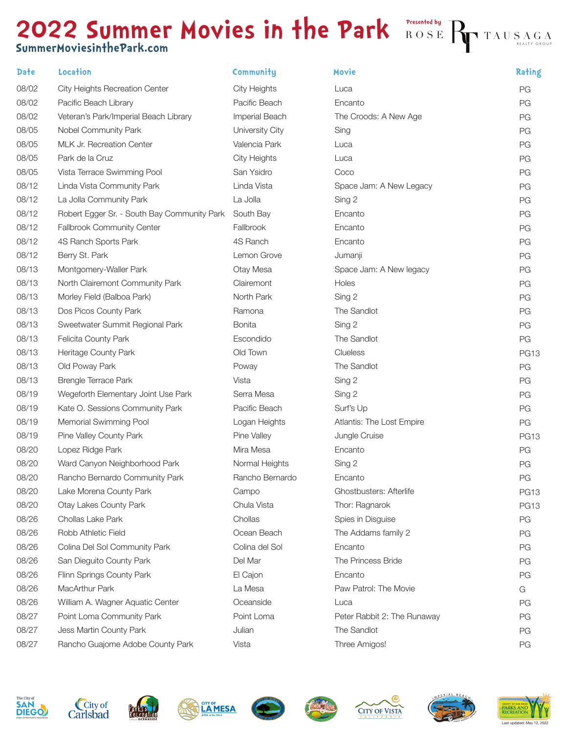## **2022 Summer Movies in the Park** ROSE **SummerMoviesinthePark.com**

| Date  | Location                                    | Community       | Movie                       | Rating      |
|-------|---------------------------------------------|-----------------|-----------------------------|-------------|
| 08/02 | <b>City Heights Recreation Center</b>       | City Heights    | Luca                        | PG          |
| 08/02 | Pacific Beach Library                       | Pacific Beach   | Encanto                     | PG          |
| 08/02 | Veteran's Park/Imperial Beach Library       | Imperial Beach  | The Croods: A New Age       | PG          |
| 08/05 | Nobel Community Park                        | University City | Sing                        | PG          |
| 08/05 | MLK Jr. Recreation Center                   | Valencia Park   | Luca                        | PG          |
| 08/05 | Park de la Cruz                             | City Heights    | Luca                        | PG          |
| 08/05 | Vista Terrace Swimming Pool                 | San Ysidro      | Coco                        | PG          |
| 08/12 | Linda Vista Community Park                  | Linda Vista     | Space Jam: A New Legacy     | PG          |
| 08/12 | La Jolla Community Park                     | La Jolla        | Sing 2                      | PG          |
| 08/12 | Robert Egger Sr. - South Bay Community Park | South Bay       | Encanto                     | PG          |
| 08/12 | Fallbrook Community Center                  | Fallbrook       | Encanto                     | PG          |
| 08/12 | 4S Ranch Sports Park                        | 4S Ranch        | Encanto                     | PG          |
| 08/12 | Berry St. Park                              | Lemon Grove     | Jumanji                     | PG          |
| 08/13 | Montgomery-Waller Park                      | Otay Mesa       | Space Jam: A New legacy     | PG          |
| 08/13 | North Clairemont Community Park             | Clairemont      | Holes                       | PG          |
| 08/13 | Morley Field (Balboa Park)                  | North Park      | Sing 2                      | PG          |
| 08/13 | Dos Picos County Park                       | Ramona          | The Sandlot                 | PG          |
| 08/13 | Sweetwater Summit Regional Park             | <b>Bonita</b>   | Sing 2                      | PG          |
| 08/13 | Felicita County Park                        | Escondido       | The Sandlot                 | PG          |
| 08/13 | Heritage County Park                        | Old Town        | Clueless                    | <b>PG13</b> |
| 08/13 | Old Poway Park                              | Poway           | The Sandlot                 | PG          |
| 08/13 | <b>Brengle Terrace Park</b>                 | Vista           | Sing 2                      | PG          |
| 08/19 | Wegeforth Elementary Joint Use Park         | Serra Mesa      | Sing 2                      | PG          |
| 08/19 | Kate O. Sessions Community Park             | Pacific Beach   | Surf's Up                   | PG          |
| 08/19 | Memorial Swimming Pool                      | Logan Heights   | Atlantis: The Lost Empire   | PG          |
| 08/19 | Pine Valley County Park                     | Pine Valley     | Jungle Cruise               | <b>PG13</b> |
| 08/20 | Lopez Ridge Park                            | Mira Mesa       | Encanto                     | PG          |
| 08/20 | Ward Canyon Neighborhood Park               | Normal Heights  | Sing 2                      | PG          |
| 08/20 | Rancho Bernardo Community Park              | Rancho Bernardo | Encanto                     | PG          |
| 08/20 | Lake Morena County Park                     | Campo           | Ghostbusters: Afterlife     | <b>PG13</b> |
| 08/20 | <b>Otay Lakes County Park</b>               | Chula Vista     | Thor: Ragnarok              | <b>PG13</b> |
| 08/26 | Chollas Lake Park                           | Chollas         | Spies in Disguise           | PG          |
| 08/26 | Robb Athletic Field                         | Ocean Beach     | The Addams family 2         | PG          |
| 08/26 | Colina Del Sol Community Park               | Colina del Sol  | Encanto                     | PG          |
| 08/26 | San Dieguito County Park                    | Del Mar         | The Princess Bride          | PG          |
| 08/26 | Flinn Springs County Park                   | El Cajon        | Encanto                     | PG          |
| 08/26 | MacArthur Park                              | La Mesa         | Paw Patrol: The Movie       | G           |
| 08/26 | William A. Wagner Aquatic Center            | Oceanside       | Luca                        | PG          |
| 08/27 | Point Loma Community Park                   | Point Loma      | Peter Rabbit 2: The Runaway | PG          |
| 08/27 | Jess Martin County Park                     | Julian          | The Sandlot                 | PG          |
| 08/27 | Rancho Guajome Adobe County Park            | Vista           | Three Amigos!               | PG          |

 $\rm\,R\;O\;S\;E\; \displaystyle\prod_{\rm T}\rm\,T\;A\;U\;S\;A\;G\;A$